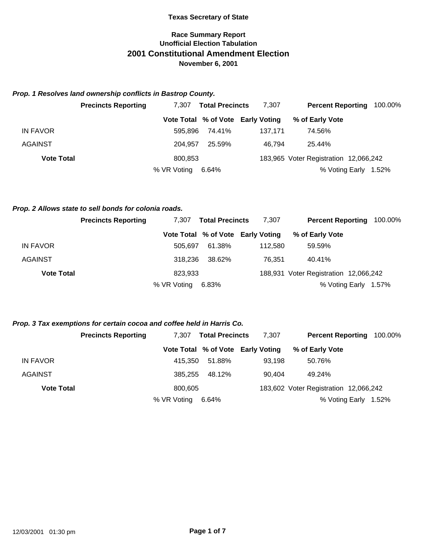# **Race Summary Report Unofficial Election Tabulation 2001 Constitutional Amendment Election November 6, 2001**

### *Prop. 1 Resolves land ownership conflicts in Bastrop County.*

|                   | <b>Precincts Reporting</b> | <b>Total Precincts</b><br>7.307 |        | 7,307                             | <b>Percent Reporting</b>              |       |
|-------------------|----------------------------|---------------------------------|--------|-----------------------------------|---------------------------------------|-------|
|                   |                            |                                 |        | Vote Total % of Vote Early Voting | % of Early Vote                       |       |
| IN FAVOR          |                            | 595.896                         | 74.41% | 137.171                           | 74.56%                                |       |
| <b>AGAINST</b>    |                            | 204.957                         | 25.59% | 46.794                            | 25.44%                                |       |
| <b>Vote Total</b> |                            | 800,853                         |        |                                   | 183,965 Voter Registration 12,066,242 |       |
|                   |                            | % VR Voting                     | 6.64%  |                                   | % Voting Early                        | 1.52% |

#### *Prop. 2 Allows state to sell bonds for colonia roads.*

|                   | <b>Precincts Reporting</b> | <b>Total Precincts</b><br>7.307 |        | 7.307                             | <b>Percent Reporting</b>              | 100.00% |
|-------------------|----------------------------|---------------------------------|--------|-----------------------------------|---------------------------------------|---------|
|                   |                            |                                 |        | Vote Total % of Vote Early Voting | % of Early Vote                       |         |
| IN FAVOR          |                            | 505.697                         | 61.38% | 112.580                           | 59.59%                                |         |
| <b>AGAINST</b>    |                            | 318.236                         | 38.62% | 76,351                            | 40.41%                                |         |
| <b>Vote Total</b> |                            | 823,933                         |        |                                   | 188,931 Voter Registration 12,066,242 |         |
|                   |                            | % VR Voting                     | 6.83%  |                                   | % Voting Early                        | 1.57%   |

### *Prop. 3 Tax exemptions for certain cocoa and coffee held in Harris Co.*

|                   | <b>Precincts Reporting</b> | <b>Total Precincts</b><br>7.307 |        | 7,307                             | <b>Percent Reporting</b>              | 100.00% |
|-------------------|----------------------------|---------------------------------|--------|-----------------------------------|---------------------------------------|---------|
|                   |                            |                                 |        | Vote Total % of Vote Early Voting | % of Early Vote                       |         |
| IN FAVOR          |                            | 415.350                         | 51.88% | 93.198                            | 50.76%                                |         |
| AGAINST           |                            | 385,255                         | 48.12% | 90.404                            | 49.24%                                |         |
| <b>Vote Total</b> |                            | 800.605                         |        |                                   | 183,602 Voter Registration 12,066,242 |         |
|                   |                            | % VR Voting                     | 6.64%  |                                   | % Voting Early                        | 1.52%   |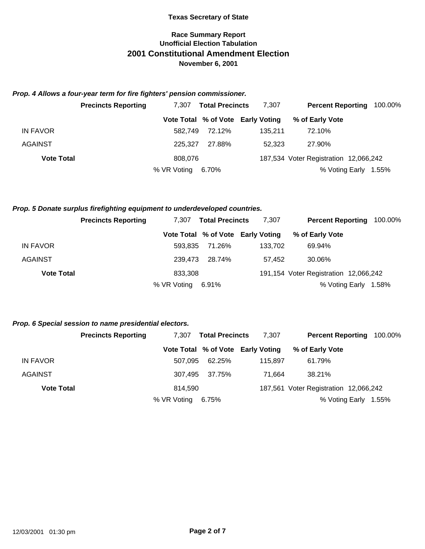# **Race Summary Report Unofficial Election Tabulation 2001 Constitutional Amendment Election November 6, 2001**

### *Prop. 4 Allows a four-year term for fire fighters' pension commissioner.*

|                   | <b>Precincts Reporting</b> | <b>Total Precincts</b><br>7.307 |        | 7,307                             | <b>Percent Reporting</b>              | 100.00% |
|-------------------|----------------------------|---------------------------------|--------|-----------------------------------|---------------------------------------|---------|
|                   |                            |                                 |        | Vote Total % of Vote Early Voting | % of Early Vote                       |         |
| IN FAVOR          |                            | 582.749                         | 72.12% | 135.211                           | 72.10%                                |         |
| <b>AGAINST</b>    |                            | 225.327                         | 27.88% | 52.323                            | 27.90%                                |         |
| <b>Vote Total</b> |                            | 808,076                         |        |                                   | 187,534 Voter Registration 12,066,242 |         |
|                   |                            | % VR Voting                     | 6.70%  |                                   | % Voting Early                        | 1.55%   |

#### *Prop. 5 Donate surplus firefighting equipment to underdeveloped countries.*

|                   | <b>Precincts Reporting</b> | 7.307   | <b>Total Precincts</b> | 7.307                             | <b>Percent Reporting</b>              | 100.00% |
|-------------------|----------------------------|---------|------------------------|-----------------------------------|---------------------------------------|---------|
|                   |                            |         |                        | Vote Total % of Vote Early Voting | % of Early Vote                       |         |
| IN FAVOR          |                            |         | 593.835 71.26%         | 133.702                           | 69.94%                                |         |
| <b>AGAINST</b>    |                            | 239.473 | 28.74%                 | 57.452                            | 30.06%                                |         |
| <b>Vote Total</b> |                            | 833,308 |                        |                                   | 191,154 Voter Registration 12,066,242 |         |
|                   | % VR Voting                |         | 6.91%                  |                                   | % Voting Early                        | 1.58%   |

#### *Prop. 6 Special session to name presidential electors.*

|                   | <b>Precincts Reporting</b> | 7.307       | <b>Total Precincts</b> | 7.307                             | <b>Percent Reporting</b>              | 100.00% |
|-------------------|----------------------------|-------------|------------------------|-----------------------------------|---------------------------------------|---------|
|                   |                            |             |                        | Vote Total % of Vote Early Voting | % of Early Vote                       |         |
| <b>IN FAVOR</b>   |                            | 507.095     | 62.25%                 | 115.897                           | 61.79%                                |         |
| AGAINST           |                            | 307.495     | 37.75%                 | 71.664                            | 38.21%                                |         |
| <b>Vote Total</b> |                            | 814,590     |                        |                                   | 187,561 Voter Registration 12,066,242 |         |
|                   |                            | % VR Voting | 6.75%                  |                                   | % Voting Early                        | 1.55%   |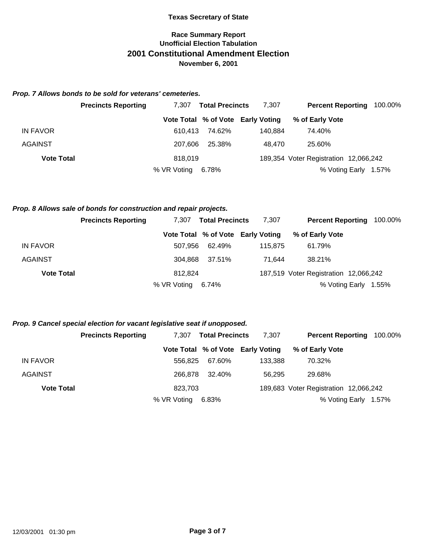# **Race Summary Report Unofficial Election Tabulation 2001 Constitutional Amendment Election November 6, 2001**

### *Prop. 7 Allows bonds to be sold for veterans' cemeteries.*

|                   | <b>Precincts Reporting</b> | <b>Total Precincts</b><br>7.307 |        | 7,307                             | <b>Percent Reporting</b>              |                      |
|-------------------|----------------------------|---------------------------------|--------|-----------------------------------|---------------------------------------|----------------------|
|                   |                            |                                 |        | Vote Total % of Vote Early Voting | % of Early Vote                       |                      |
| IN FAVOR          |                            | 610.413                         | 74.62% | 140.884                           | 74.40%                                |                      |
| <b>AGAINST</b>    |                            | 207.606                         | 25.38% | 48.470                            | 25.60%                                |                      |
| <b>Vote Total</b> |                            | 818,019                         |        |                                   | 189,354 Voter Registration 12,066,242 |                      |
|                   |                            | % VR Voting                     | 6.78%  |                                   |                                       | % Voting Early 1.57% |

#### *Prop. 8 Allows sale of bonds for construction and repair projects.*

|                   | <b>Precincts Reporting</b> | <b>Total Precincts</b><br>7.307 |        | 7.307                             | <b>Percent Reporting</b><br>100.00%   |       |
|-------------------|----------------------------|---------------------------------|--------|-----------------------------------|---------------------------------------|-------|
|                   |                            |                                 |        | Vote Total % of Vote Early Voting | % of Early Vote                       |       |
| <b>IN FAVOR</b>   |                            | 507.956                         | 62.49% | 115.875                           | 61.79%                                |       |
| <b>AGAINST</b>    |                            | 304.868                         | 37.51% | 71.644                            | 38.21%                                |       |
| <b>Vote Total</b> |                            | 812.824                         |        |                                   | 187,519 Voter Registration 12,066,242 |       |
|                   |                            | % VR Voting                     | 6.74%  |                                   | % Voting Early                        | 1.55% |

### *Prop. 9 Cancel special election for vacant legislative seat if unopposed.*

|                   | <b>Precincts Reporting</b> | <b>Total Precincts</b><br>7.307 |        | 7,307                             | <b>Percent Reporting</b>              | 100.00%              |
|-------------------|----------------------------|---------------------------------|--------|-----------------------------------|---------------------------------------|----------------------|
|                   |                            |                                 |        | Vote Total % of Vote Early Voting | % of Early Vote                       |                      |
| IN FAVOR          |                            | 556.825                         | 67.60% | 133.388                           | 70.32%                                |                      |
| AGAINST           |                            | 266.878                         | 32.40% | 56.295                            | 29.68%                                |                      |
| <b>Vote Total</b> |                            | 823,703                         |        |                                   | 189,683 Voter Registration 12,066,242 |                      |
|                   |                            | % VR Voting                     | 6.83%  |                                   |                                       | % Voting Early 1.57% |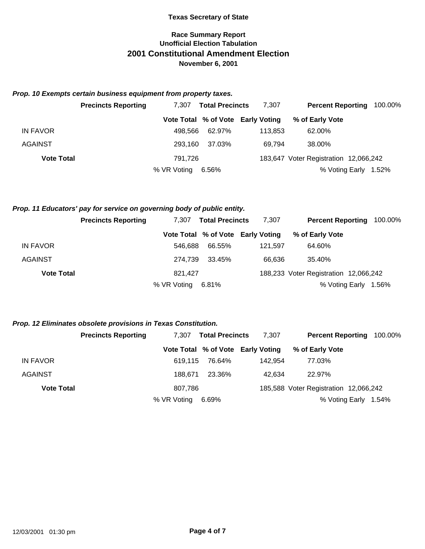# **Race Summary Report Unofficial Election Tabulation 2001 Constitutional Amendment Election November 6, 2001**

### *Prop. 10 Exempts certain business equipment from property taxes.*

|                   | <b>Precincts Reporting</b> | 7.307       | <b>Total Precincts</b> | 7,307                             | <b>Percent Reporting</b>              | 100.00% |
|-------------------|----------------------------|-------------|------------------------|-----------------------------------|---------------------------------------|---------|
|                   |                            |             |                        | Vote Total % of Vote Early Voting | % of Early Vote                       |         |
| <b>IN FAVOR</b>   |                            | 498.566     | 62.97%                 | 113.853                           | 62.00%                                |         |
| AGAINST           |                            | 293.160     | 37.03%                 | 69.794                            | 38.00%                                |         |
| <b>Vote Total</b> |                            | 791.726     |                        |                                   | 183,647 Voter Registration 12,066,242 |         |
|                   |                            | % VR Voting | 6.56%                  |                                   | % Voting Early                        | 1.52%   |

### *Prop. 11 Educators' pay for service on governing body of public entity.*

|                   | <b>Precincts Reporting</b> | <b>Total Precincts</b><br>7.307 |        | 7.307                             | <b>Percent Reporting</b>              |  | 100.00% |
|-------------------|----------------------------|---------------------------------|--------|-----------------------------------|---------------------------------------|--|---------|
|                   |                            |                                 |        | Vote Total % of Vote Early Voting | % of Early Vote                       |  |         |
| <b>IN FAVOR</b>   | 546.688                    |                                 | 66.55% | 121.597                           | 64.60%                                |  |         |
| <b>AGAINST</b>    | 274.739                    |                                 | 33.45% | 66.636                            | 35.40%                                |  |         |
| <b>Vote Total</b> | 821.427                    |                                 |        |                                   | 188,233 Voter Registration 12,066,242 |  |         |
|                   | % VR Voting                |                                 | 6.81%  |                                   | % Voting Early                        |  | 1.56%   |

### *Prop. 12 Eliminates obsolete provisions in Texas Constitution.*

|                   | <b>Precincts Reporting</b> | 7.307<br><b>Total Precincts</b> |        | 7,307                             | <b>Percent Reporting</b>              | 100.00% |
|-------------------|----------------------------|---------------------------------|--------|-----------------------------------|---------------------------------------|---------|
|                   |                            |                                 |        | Vote Total % of Vote Early Voting | % of Early Vote                       |         |
| IN FAVOR          |                            | 619.115                         | 76.64% | 142.954                           | 77.03%                                |         |
| <b>AGAINST</b>    |                            | 188.671                         | 23.36% | 42.634                            | 22.97%                                |         |
| <b>Vote Total</b> |                            | 807.786                         |        |                                   | 185,588 Voter Registration 12,066,242 |         |
|                   |                            | % VR Voting                     | 6.69%  |                                   | % Voting Early                        | 1.54%   |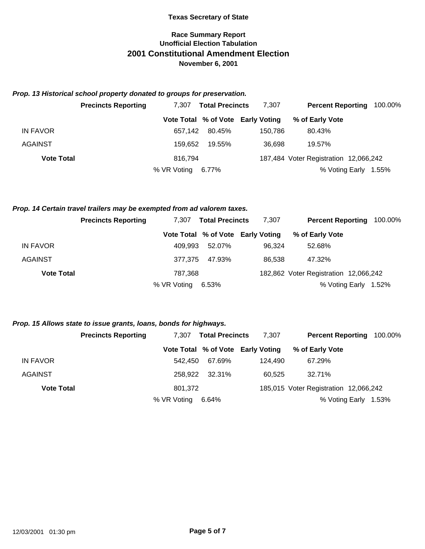# **Race Summary Report Unofficial Election Tabulation 2001 Constitutional Amendment Election November 6, 2001**

### *Prop. 13 Historical school property donated to groups for preservation.*

|                   | <b>Precincts Reporting</b> | 7.307       | <b>Total Precincts</b> | 7.307                             | <b>Percent Reporting</b>              | 100.00% |
|-------------------|----------------------------|-------------|------------------------|-----------------------------------|---------------------------------------|---------|
|                   |                            |             |                        | Vote Total % of Vote Early Voting | % of Early Vote                       |         |
| IN FAVOR          |                            | 657.142     | 80.45%                 | 150.786                           | 80.43%                                |         |
| <b>AGAINST</b>    |                            | 159.652     | 19.55%                 | 36.698                            | 19.57%                                |         |
| <b>Vote Total</b> |                            | 816.794     |                        |                                   | 187,484 Voter Registration 12,066,242 |         |
|                   |                            | % VR Voting | 6.77%                  |                                   | % Voting Early                        | 1.55%   |

#### *Prop. 14 Certain travel trailers may be exempted from ad valorem taxes.*

|                   | <b>Precincts Reporting</b> | <b>Total Precincts</b><br>7.307 |        | 7,307                             | <b>Percent Reporting</b>              | 100.00% |
|-------------------|----------------------------|---------------------------------|--------|-----------------------------------|---------------------------------------|---------|
|                   |                            |                                 |        | Vote Total % of Vote Early Voting | % of Early Vote                       |         |
| IN FAVOR          |                            | 409.993                         | 52.07% | 96.324                            | 52.68%                                |         |
| <b>AGAINST</b>    |                            | 377.375                         | 47.93% | 86.538                            | 47.32%                                |         |
| <b>Vote Total</b> |                            | 787.368                         |        |                                   | 182,862 Voter Registration 12,066,242 |         |
|                   |                            | % VR Voting                     | 6.53%  |                                   | % Voting Early                        | 1.52%   |

#### *Prop. 15 Allows state to issue grants, loans, bonds for highways.*

|                   | <b>Precincts Reporting</b> | <b>Total Precincts</b><br>7.307 |                | 7,307                             | <b>Percent Reporting</b>              |  | 100.00% |
|-------------------|----------------------------|---------------------------------|----------------|-----------------------------------|---------------------------------------|--|---------|
|                   |                            |                                 |                | Vote Total % of Vote Early Voting | % of Early Vote                       |  |         |
| IN FAVOR          | 542.450                    |                                 | 67.69%         | 124.490                           | 67.29%                                |  |         |
| AGAINST           |                            |                                 | 258.922 32.31% | 60.525                            | 32.71%                                |  |         |
| <b>Vote Total</b> | 801.372                    |                                 |                |                                   | 185,015 Voter Registration 12,066,242 |  |         |
|                   | % VR Voting                |                                 | 6.64%          |                                   | % Voting Early                        |  | 1.53%   |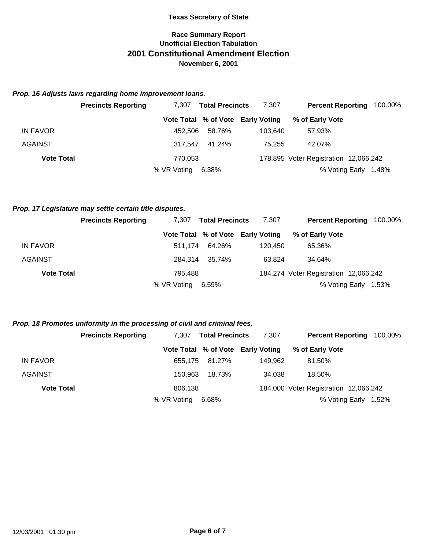# **Race Summary Report Unofficial Election Tabulation 2001 Constitutional Amendment Election November 6, 2001**

### *Prop. 16 Adjusts laws regarding home improvement loans.*

|                   | <b>Precincts Reporting</b> | 7.307       | <b>Total Precincts</b> | 7,307                             | <b>Percent Reporting</b>              | 100.00% |
|-------------------|----------------------------|-------------|------------------------|-----------------------------------|---------------------------------------|---------|
|                   |                            |             |                        | Vote Total % of Vote Early Voting | % of Early Vote                       |         |
| IN FAVOR          |                            | 452.506     | 58.76%                 | 103.640                           | 57.93%                                |         |
| <b>AGAINST</b>    |                            | 317.547     | 41.24%                 | 75.255                            | 42.07%                                |         |
| <b>Vote Total</b> |                            | 770,053     |                        |                                   | 178,895 Voter Registration 12,066,242 |         |
|                   |                            | % VR Voting | 6.38%                  |                                   | % Voting Early                        | 1.48%   |

### *Prop. 17 Legislature may settle certain title disputes.*

|                   | <b>Precincts Reporting</b> | <b>Total Precincts</b><br>7.307 |        | 7.307                             | <b>Percent Reporting</b>              | 100.00% |
|-------------------|----------------------------|---------------------------------|--------|-----------------------------------|---------------------------------------|---------|
|                   |                            |                                 |        | Vote Total % of Vote Early Voting | % of Early Vote                       |         |
| <b>IN FAVOR</b>   |                            | 511.174                         | 64.26% | 120.450                           | 65.36%                                |         |
| <b>AGAINST</b>    |                            | 284.314                         | 35.74% | 63.824                            | 34.64%                                |         |
| <b>Vote Total</b> |                            | 795.488                         |        |                                   | 184,274 Voter Registration 12,066,242 |         |
|                   |                            | % VR Voting                     | 6.59%  |                                   | % Voting Early                        | 1.53%   |

### *Prop. 18 Promotes uniformity in the processing of civil and criminal fees.*

|                   | <b>Precincts Reporting</b> | 7.307       | <b>Total Precincts</b> | 7,307                             | <b>Percent Reporting</b>              | 100.00% |
|-------------------|----------------------------|-------------|------------------------|-----------------------------------|---------------------------------------|---------|
|                   |                            |             |                        | Vote Total % of Vote Early Voting | % of Early Vote                       |         |
| <b>IN FAVOR</b>   |                            |             | 655.175 81.27%         | 149.962                           | 81.50%                                |         |
| <b>AGAINST</b>    |                            | 150.963     | 18.73%                 | 34,038                            | 18.50%                                |         |
| <b>Vote Total</b> |                            | 806,138     |                        |                                   | 184,000 Voter Registration 12,066,242 |         |
|                   |                            | % VR Voting | 6.68%                  |                                   | % Voting Early                        | 1.52%   |